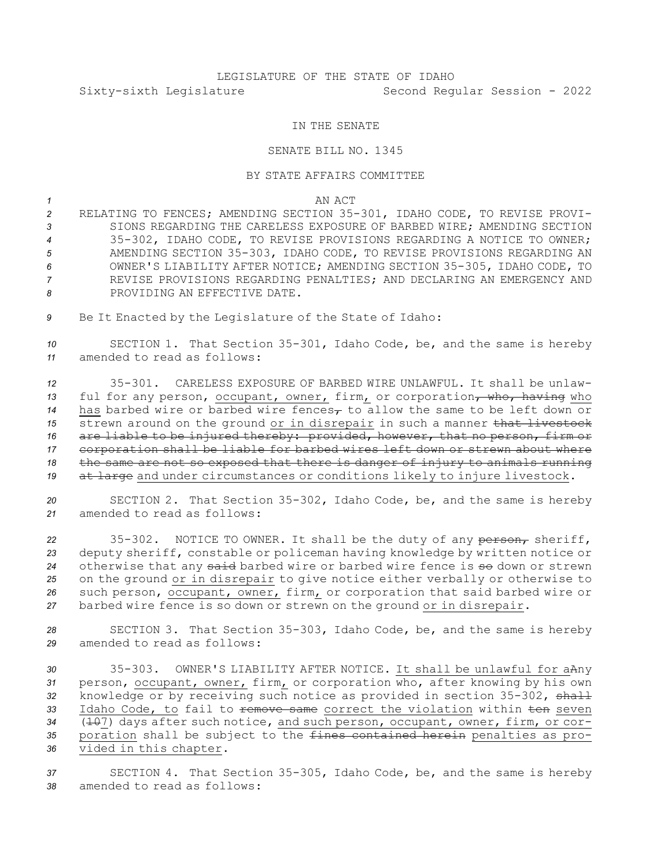## LEGISLATURE OF THE STATE OF IDAHO Sixty-sixth Legislature Second Regular Session - 2022

## IN THE SENATE

## SENATE BILL NO. 1345

## BY STATE AFFAIRS COMMITTEE

*1* AN ACT

 RELATING TO FENCES; AMENDING SECTION 35-301, IDAHO CODE, TO REVISE PROVI- SIONS REGARDING THE CARELESS EXPOSURE OF BARBED WIRE; AMENDING SECTION 35-302, IDAHO CODE, TO REVISE PROVISIONS REGARDING A NOTICE TO OWNER; AMENDING SECTION 35-303, IDAHO CODE, TO REVISE PROVISIONS REGARDING AN OWNER'S LIABILITY AFTER NOTICE; AMENDING SECTION 35-305, IDAHO CODE, TO REVISE PROVISIONS REGARDING PENALTIES; AND DECLARING AN EMERGENCY AND PROVIDING AN EFFECTIVE DATE.

*<sup>9</sup>* Be It Enacted by the Legislature of the State of Idaho:

*<sup>10</sup>* SECTION 1. That Section 35-301, Idaho Code, be, and the same is hereby *11* amended to read as follows:

 35-301. CARELESS EXPOSURE OF BARBED WIRE UNLAWFUL. It shall be unlaw-13 ful for any person, occupant, owner, firm, or corporation, who, having who has barbed wire or barbed wire fences $<sub>r</sub>$  to allow the same to be left down or</sub> 15 strewn around on the ground or in disrepair in such a manner that livestock are liable to be injured thereby: provided, however, that no person, firm or corporation shall be liable for barbed wires left down or strewn about where the same are not so exposed that there is danger of injury to animals running at large and under circumstances or conditions likely to injure livestock.

*<sup>20</sup>* SECTION 2. That Section 35-302, Idaho Code, be, and the same is hereby *21* amended to read as follows:

22 35-302. NOTICE TO OWNER. It shall be the duty of any person, sheriff, deputy sheriff, constable or policeman having knowledge by written notice or 24 otherwise that any said barbed wire or barbed wire fence is so down or strewn on the ground or in disrepair to give notice either verbally or otherwise to such person, occupant, owner, firm, or corporation that said barbed wire or barbed wire fence is so down or strewn on the ground or in disrepair.

*<sup>28</sup>* SECTION 3. That Section 35-303, Idaho Code, be, and the same is hereby *29* amended to read as follows:

 35-303. OWNER'S LIABILITY AFTER NOTICE. It shall be unlawful for aAny person, occupant, owner, firm, or corporation who, after knowing by his own knowledge or by receiving such notice as provided in section 35-302, shall 33 Idaho Code, to fail to <del>remove same</del> correct the violation within ten seven 34 ( $\pm$ 07) days after such notice, and such person, occupant, owner, firm, or cor- poration shall be subject to the fines contained herein penalties as pro-vided in this chapter.

*<sup>37</sup>* SECTION 4. That Section 35-305, Idaho Code, be, and the same is hereby *38* amended to read as follows: